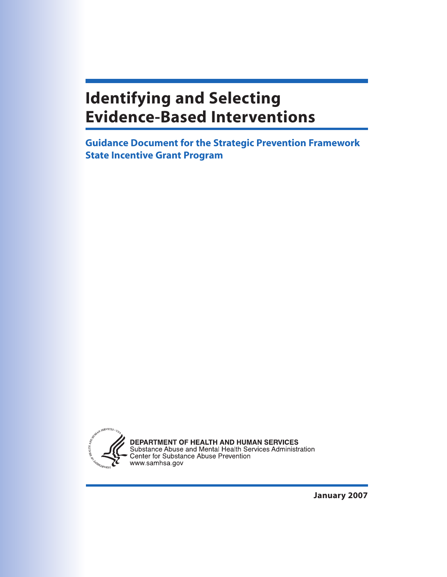# **Identifying and Selecting Evidence-Based Interventions**

**Guidance Document for the Strategic Prevention Framework State Incentive Grant Program**



**DEPARTMENT OF HEALTH AND HUMAN SERVICES**<br>Substance Abuse and Mental Health Services Administration<br>Center for Substance Abuse Prevention<br>www.samhsa.gov

**January 2007**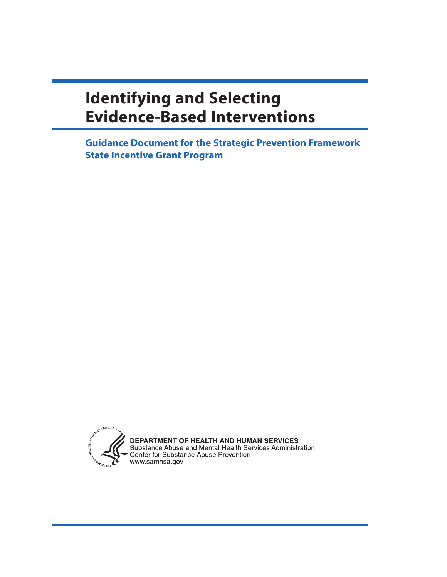# **Identifying and Selecting Evidence-Based Interventions**

**Guidance Document for the Strategic Prevention Framework State Incentive Grant Program**

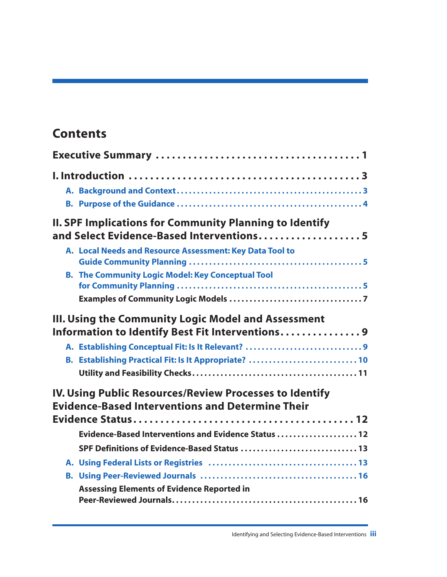## **Contents**

|           | <b>II. SPF Implications for Community Planning to Identify</b><br>and Select Evidence-Based Interventions 5        |
|-----------|--------------------------------------------------------------------------------------------------------------------|
|           | A. Local Needs and Resource Assessment: Key Data Tool to                                                           |
|           | <b>B. The Community Logic Model: Key Conceptual Tool</b>                                                           |
|           |                                                                                                                    |
|           | III. Using the Community Logic Model and Assessment<br>Information to Identify Best Fit Interventions 9            |
|           | A. Establishing Conceptual Fit: Is It Relevant? 9                                                                  |
|           | B. Establishing Practical Fit: Is It Appropriate?  10                                                              |
|           |                                                                                                                    |
|           | IV. Using Public Resources/Review Processes to Identify<br><b>Evidence-Based Interventions and Determine Their</b> |
|           |                                                                                                                    |
|           | Evidence-Based Interventions and Evidence Status  12                                                               |
|           | SPF Definitions of Evidence-Based Status  13                                                                       |
|           |                                                                                                                    |
| <b>B.</b> |                                                                                                                    |
|           | <b>Assessing Elements of Evidence Reported in</b>                                                                  |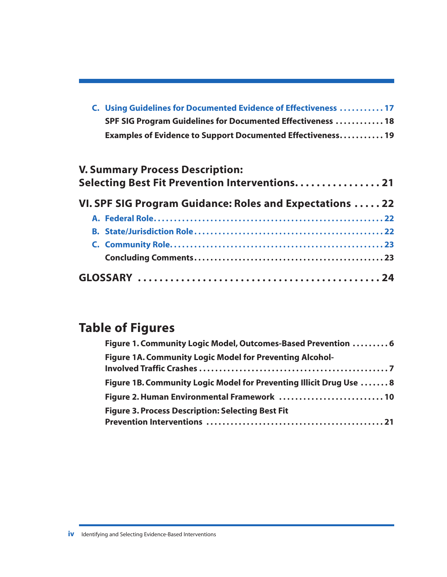| C. Using Guidelines for Documented Evidence of Effectiveness  17 |
|------------------------------------------------------------------|
| SPF SIG Program Guidelines for Documented Effectiveness  18      |
| Examples of Evidence to Support Documented Effectiveness 19      |

| <b>V. Summary Process Description:</b><br>Selecting Best Fit Prevention Interventions21 |  |  |  |
|-----------------------------------------------------------------------------------------|--|--|--|
| VI. SPF SIG Program Guidance: Roles and Expectations  22                                |  |  |  |
|                                                                                         |  |  |  |
|                                                                                         |  |  |  |
|                                                                                         |  |  |  |
|                                                                                         |  |  |  |
|                                                                                         |  |  |  |

## **Table of Figures**

| Figure 1. Community Logic Model, Outcomes-Based Prevention  6       |
|---------------------------------------------------------------------|
| <b>Figure 1A. Community Logic Model for Preventing Alcohol-</b>     |
| Figure 1B. Community Logic Model for Preventing Illicit Drug Use  8 |
| Figure 2. Human Environmental Framework  10                         |
| <b>Figure 3. Process Description: Selecting Best Fit</b>            |
|                                                                     |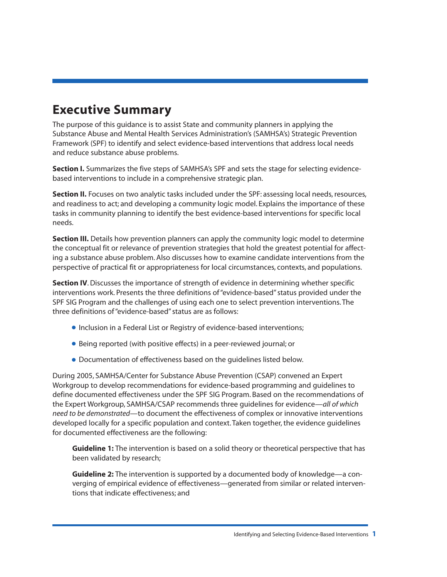## <span id="page-6-0"></span>**Executive Summary**

The purpose of this guidance is to assist State and community planners in applying the Substance Abuse and Mental Health Services Administration's (SAMHSA's) Strategic Prevention Framework (SPF) to identify and select evidence-based interventions that address local needs and reduce substance abuse problems.

**Section I.** Summarizes the five steps of SAMHSA's SPF and sets the stage for selecting evidencebased interventions to include in a comprehensive strategic plan.

**Section II.** Focuses on two analytic tasks included under the SPF: assessing local needs, resources, and readiness to act; and developing a community logic model. Explains the importance of these tasks in community planning to identify the best evidence-based interventions for specific local needs.

**Section III.** Details how prevention planners can apply the community logic model to determine the conceptual fit or relevance of prevention strategies that hold the greatest potential for affecting a substance abuse problem. Also discusses how to examine candidate interventions from the perspective of practical fit or appropriateness for local circumstances, contexts, and populations.

**Section IV.** Discusses the importance of strength of evidence in determining whether specific interventions work. Presents the three definitions of "evidence-based" status provided under the SPF SIG Program and the challenges of using each one to select prevention interventions. The three definitions of "evidence-based" status are as follows:

- •Inclusion in a Federal List or Registry of evidence-based interventions;
- Being reported (with positive effects) in a peer-reviewed journal; or
- Documentation of effectiveness based on the guidelines listed below.

During 2005, SAMHSA/Center for Substance Abuse Prevention (CSAP) convened an Expert Workgroup to develop recommendations for evidence-based programming and guidelines to define documented effectiveness under the SPF SIG Program. Based on the recommendations of the Expert Workgroup, SAMHSA/CSAP recommends three guidelines for evidence—*all of which need to be demonstrated*—to document the effectiveness of complex or innovative interventions developed locally for a specific population and context. Taken together, the evidence guidelines for documented effectiveness are the following:

**Guideline 1:** The intervention is based on a solid theory or theoretical perspective that has been validated by research;

**Guideline 2:** The intervention is supported by a documented body of knowledge—a converging of empirical evidence of effectiveness—generated from similar or related interventions that indicate effectiveness; and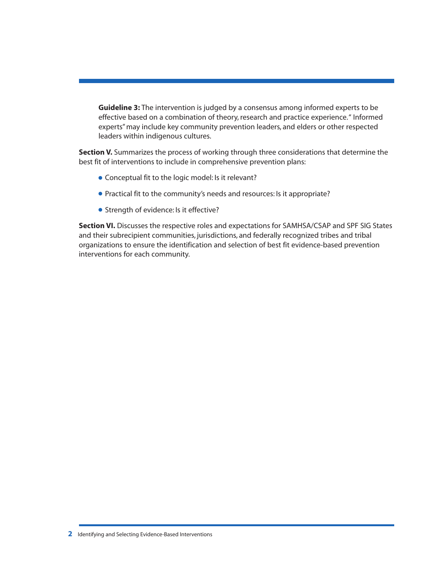**Guideline 3:** The intervention is judged by a consensus among informed experts to be effective based on a combination of theory, research and practice experience." Informed experts" may include key community prevention leaders, and elders or other respected leaders within indigenous cultures.

**Section V.** Summarizes the process of working through three considerations that determine the best fit of interventions to include in comprehensive prevention plans:

- Conceptual fit to the logic model: Is it relevant?
- Practical fit to the community's needs and resources: Is it appropriate?
- Strength of evidence: Is it effective?

**Section VI.** Discusses the respective roles and expectations for SAMHSA/CSAP and SPF SIG States and their subrecipient communities, jurisdictions, and federally recognized tribes and tribal organizations to ensure the identification and selection of best fit evidence-based prevention interventions for each community.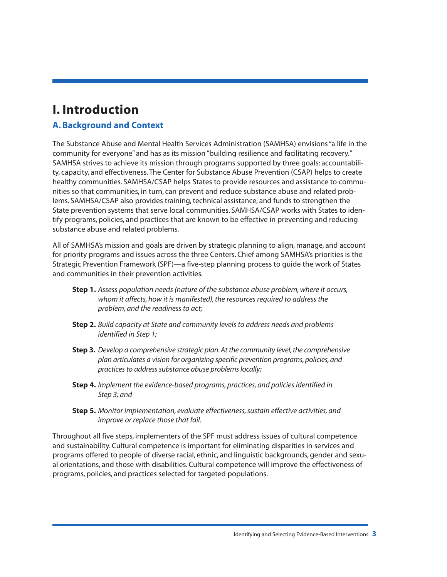## <span id="page-8-0"></span>**I. Introduction**

## **A. Background and Context**

The Substance Abuse and Mental Health Services Administration (SAMHSA) envisions "a life in the community for everyone" and has as its mission "building resilience and facilitating recovery." SAMHSA strives to achieve its mission through programs supported by three goals: accountability, capacity, and effectiveness. The Center for Substance Abuse Prevention (CSAP) helps to create healthy communities. SAMHSA/CSAP helps States to provide resources and assistance to communities so that communities, in turn, can prevent and reduce substance abuse and related problems. SAMHSA/CSAP also provides training, technical assistance, and funds to strengthen the State prevention systems that serve local communities. SAMHSA/CSAP works with States to identify programs, policies, and practices that are known to be effective in preventing and reducing substance abuse and related problems.

All of SAMHSA's mission and goals are driven by strategic planning to align, manage, and account for priority programs and issues across the three Centers. Chief among SAMHSA's priorities is the Strategic Prevention Framework (SPF)—a five-step planning process to guide the work of States and communities in their prevention activities.

- **Step 1.** *Assess population needs (nature of the substance abuse problem, where it occurs, whom it affects, how it is manifested), the resources required to address the problem, and the readiness to act;*
- **Step 2.** *Build capacity at State and community levels to address needs and problems identified in Step 1;*
- **Step 3.** *Develop a comprehensive strategic plan. At the community level, the comprehensive plan articulates a vision for organizing specific prevention programs, policies, and practices to address substance abuse problems locally;*
- **Step 4.** *Implement the evidence-based programs, practices, and policies identified in Step 3; and*
- **Step 5.** *Monitor implementation, evaluate effectiveness, sustain effective activities, and improve or replace those that fail.*

Throughout all five steps, implementers of the SPF must address issues of cultural competence and sustainability. Cultural competence is important for eliminating disparities in services and programs offered to people of diverse racial, ethnic, and linguistic backgrounds, gender and sexual orientations, and those with disabilities. Cultural competence will improve the effectiveness of programs, policies, and practices selected for targeted populations.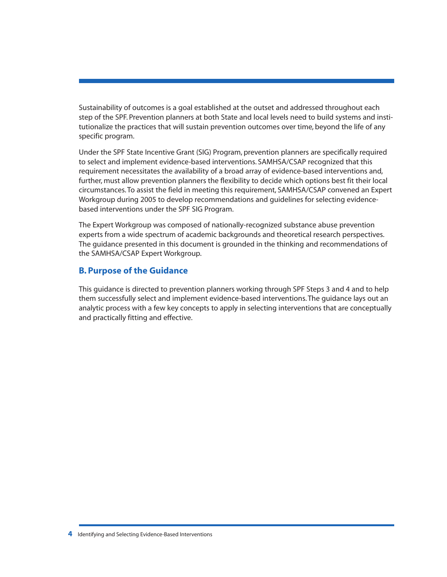<span id="page-9-0"></span>Sustainability of outcomes is a goal established at the outset and addressed throughout each step of the SPF. Prevention planners at both State and local levels need to build systems and institutionalize the practices that will sustain prevention outcomes over time, beyond the life of any specific program.

Under the SPF State Incentive Grant (SIG) Program, prevention planners are specifically required to select and implement evidence-based interventions. SAMHSA/CSAP recognized that this requirement necessitates the availability of a broad array of evidence-based interventions and, further, must allow prevention planners the flexibility to decide which options best fit their local circumstances. To assist the field in meeting this requirement, SAMHSA/CSAP convened an Expert Workgroup during 2005 to develop recommendations and guidelines for selecting evidencebased interventions under the SPF SIG Program.

The Expert Workgroup was composed of nationally-recognized substance abuse prevention experts from a wide spectrum of academic backgrounds and theoretical research perspectives. The guidance presented in this document is grounded in the thinking and recommendations of the SAMHSA/CSAP Expert Workgroup.

### **B. Purpose of the Guidance**

This guidance is directed to prevention planners working through SPF Steps 3 and 4 and to help them successfully select and implement evidence-based interventions. The guidance lays out an analytic process with a few key concepts to apply in selecting interventions that are conceptually and practically fitting and effective.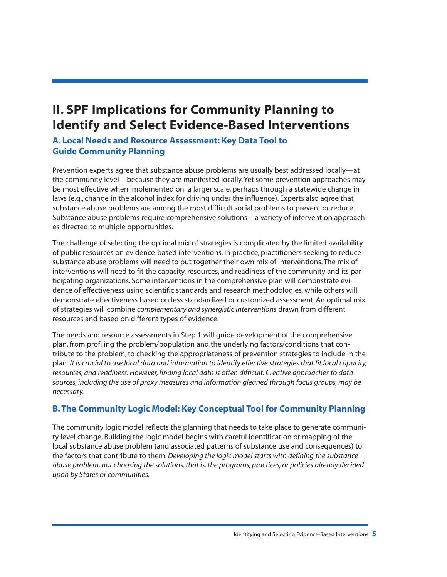## <span id="page-10-0"></span>**II. SPF Implications for Community Planning to Identify and Select Evidence-Based Interventions**

## **A. Local Needs and Resource Assessment: Key Data Tool to Guide Community Planning**

Prevention experts agree that substance abuse problems are usually best addressed locally—at the community level—because they are manifested locally. Yet some prevention approaches may be most effective when implemented on a larger scale, perhaps through a statewide change in laws (e.g., change in the alcohol index for driving under the influence). Experts also agree that substance abuse problems are among the most difficult social problems to prevent or reduce. Substance abuse problems require comprehensive solutions—a variety of intervention approaches directed to multiple opportunities.

The challenge of selecting the optimal mix of strategies is complicated by the limited availability of public resources on evidence-based interventions. In practice, practitioners seeking to reduce substance abuse problems will need to put together their own mix of interventions. The mix of interventions will need to fit the capacity, resources, and readiness of the community and its participating organizations. Some interventions in the comprehensive plan will demonstrate evidence of effectiveness using scientific standards and research methodologies, while others will demonstrate effectiveness based on less standardized or customized assessment. An optimal mix of strategies will combine *complementary and synergistic interventions* drawn from different resources and based on different types of evidence.

The needs and resource assessments in Step 1 will guide development of the comprehensive plan, from profiling the problem/population and the underlying factors/conditions that contribute to the problem, to checking the appropriateness of prevention strategies to include in the plan. *It is crucial to use local data and information to identify effective strategies that fit local capacity, resources, and readiness. However, finding local data is often difficult. Creative approaches to data sources, including the use of proxy measures and information gleaned through focus groups, may be necessary.*

## **B. The Community Logic Model: Key Conceptual Tool for Community Planning**

The community logic model reflects the planning that needs to take place to generate community level change. Building the logic model begins with careful identification or mapping of the local substance abuse problem (and associated patterns of substance use and consequences) to the factors that contribute to them.*Developing the logic model starts with defining the substance abuse problem, not choosing the solutions, that is, the programs, practices, or policies already decided upon by States or communities.*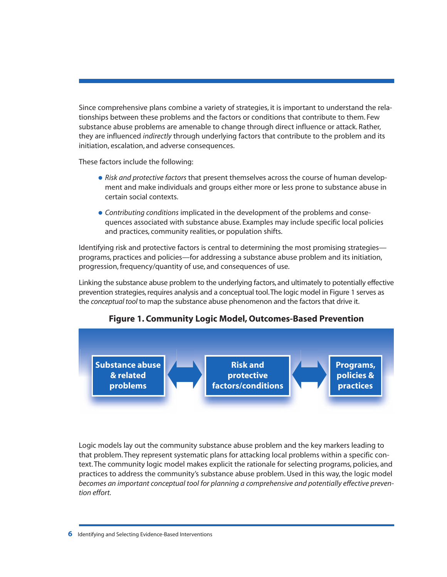<span id="page-11-0"></span>Since comprehensive plans combine a variety of strategies, it is important to understand the relationships between these problems and the factors or conditions that contribute to them. Few substance abuse problems are amenable to change through direct influence or attack. Rather, they are influenced *indirectly* through underlying factors that contribute to the problem and its initiation, escalation, and adverse consequences.

These factors include the following:

- *Risk and protective factors* that present themselves across the course of human development and make individuals and groups either more or less prone to substance abuse in certain social contexts.
- *Contributing conditions* implicated in the development of the problems and consequences associated with substance abuse. Examples may include specific local policies and practices, community realities, or population shifts.

Identifying risk and protective factors is central to determining the most promising strategies programs, practices and policies—for addressing a substance abuse problem and its initiation, progression, frequency/quantity of use, and consequences of use.

Linking the substance abuse problem to the underlying factors, and ultimately to potentially effective prevention strategies, requires analysis and a conceptual tool.The logic model in Figure 1 serves as the *conceptual tool* to map the substance abuse phenomenon and the factors that drive it.



## **Figure 1. Community Logic Model, Outcomes-Based Prevention**

Logic models lay out the community substance abuse problem and the key markers leading to that problem. They represent systematic plans for attacking local problems within a specific context. The community logic model makes explicit the rationale for selecting programs, policies, and practices to address the community's substance abuse problem. Used in this way, the logic model *becomes an important conceptual tool for planning a comprehensive and potentially effective prevention effort.*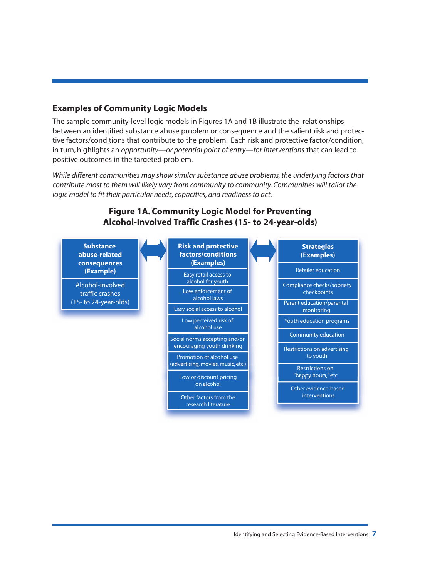### **Examples of Community Logic Models**

The sample community-level logic models in Figures 1A and 1B illustrate the relationships between an identified substance abuse problem or consequence and the salient risk and protective factors/conditions that contribute to the problem. Each risk and protective factor/condition, in turn, highlights an *opportunity—or potential point of entry—for interventions* that can lead to positive outcomes in the targeted problem.

*While different communities may show similar substance abuse problems, the underlying factors that contribute most to them will likely vary from community to community. Communities will tailor the logic model to fit their particular needs, capacities, and readiness to act.*



## <span id="page-12-0"></span>**Figure 1A. Community Logic Model for Preventing Alcohol-Involved Traffic Crashes (15- to 24-year-olds)**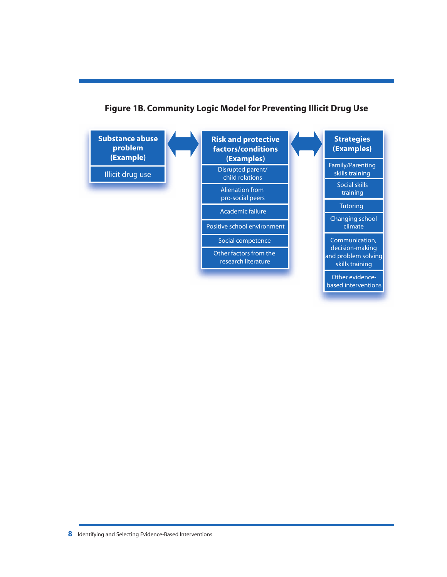

## <span id="page-13-0"></span>**Figure 1B. Community Logic Model for Preventing Illicit Drug Use**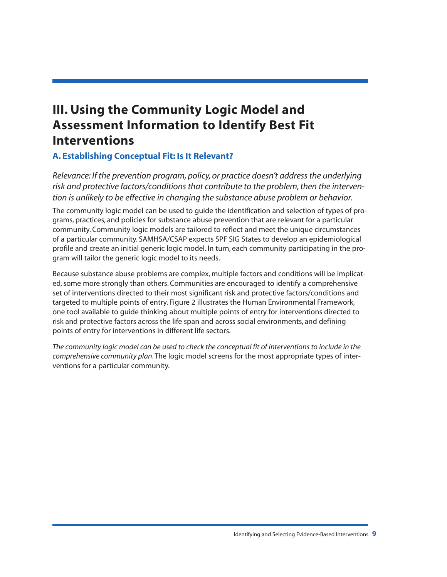## <span id="page-14-0"></span>**III. Using the Community Logic Model and Assessment Information to Identify Best Fit Interventions**

## **A. Establishing Conceptual Fit: Is It Relevant?**

*Relevance: If the prevention program, policy, or practice doesn't address the underlying risk and protective factors/conditions that contribute to the problem, then the intervention is unlikely to be effective in changing the substance abuse problem or behavior.*

The community logic model can be used to guide the identification and selection of types of programs, practices, and policies for substance abuse prevention that are relevant for a particular community. Community logic models are tailored to reflect and meet the unique circumstances of a particular community. SAMHSA/CSAP expects SPF SIG States to develop an epidemiological profile and create an initial generic logic model. In turn, each community participating in the program will tailor the generic logic model to its needs.

Because substance abuse problems are complex, multiple factors and conditions will be implicated, some more strongly than others. Communities are encouraged to identify a comprehensive set of interventions directed to their most significant risk and protective factors/conditions and targeted to multiple points of entry. Figure 2 illustrates the Human Environmental Framework, one tool available to guide thinking about multiple points of entry for interventions directed to risk and protective factors across the life span and across social environments, and defining points of entry for interventions in different life sectors.

*The community logic model can be used to check the conceptual fit of interventions to include in the comprehensive community plan*. The logic model screens for the most appropriate types of interventions for a particular community.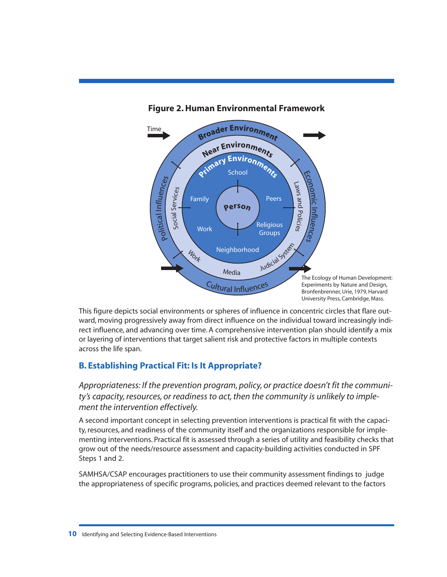

#### <span id="page-15-0"></span>**Figure 2. Human Environmental Framework**

This figure depicts social environments or spheres of influence in concentric circles that flare outward, moving progressively away from direct influence on the individual toward increasingly indirect influence, and advancing over time. A comprehensive intervention plan should identify a mix or layering of interventions that target salient risk and protective factors in multiple contexts across the life span.

## **B. Establishing Practical Fit: Is It Appropriate?**

*Appropriateness: If the prevention program, policy, or practice doesn't fit the community's capacity, resources, or readiness to act, then the community is unlikely to implement the intervention effectively.*

A second important concept in selecting prevention interventions is practical fit with the capacity, resources, and readiness of the community itself and the organizations responsible for implementing interventions. Practical fit is assessed through a series of utility and feasibility checks that grow out of the needs/resource assessment and capacity-building activities conducted in SPF Steps 1 and 2.

SAMHSA/CSAP encourages practitioners to use their community assessment findings to judge the appropriateness of specific programs, policies, and practices deemed relevant to the factors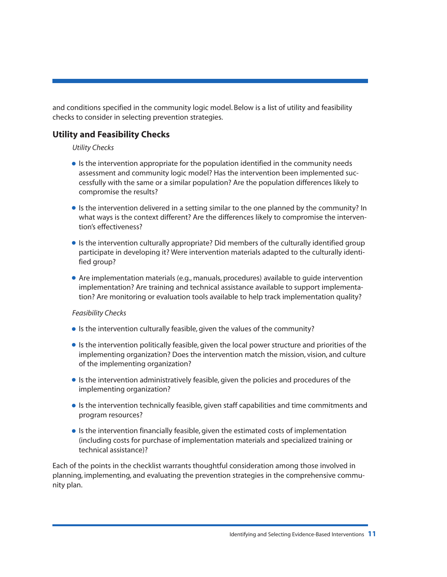and conditions specified in the community logic model. Below is a list of utility and feasibility checks to consider in selecting prevention strategies.

## **Utility and Feasibility Checks**

#### <span id="page-16-0"></span>*Utility Checks*

- Is the intervention appropriate for the population identified in the community needs assessment and community logic model? Has the intervention been implemented successfully with the same or a similar population? Are the population differences likely to compromise the results?
- •Is the intervention delivered in a setting similar to the one planned by the community? In what ways is the context different? Are the differences likely to compromise the intervention's effectiveness?
- •Is the intervention culturally appropriate? Did members of the culturally identified group participate in developing it? Were intervention materials adapted to the culturally identified group?
- Are implementation materials (e.g., manuals, procedures) available to guide intervention implementation? Are training and technical assistance available to support implementation? Are monitoring or evaluation tools available to help track implementation quality?

#### *Feasibility Checks*

- Is the intervention culturally feasible, given the values of the community?
- •Is the intervention politically feasible, given the local power structure and priorities of the implementing organization? Does the intervention match the mission, vision, and culture of the implementing organization?
- •Is the intervention administratively feasible, given the policies and procedures of the implementing organization?
- •Is the intervention technically feasible, given staff capabilities and time commitments and program resources?
- •Is the intervention financially feasible, given the estimated costs of implementation (including costs for purchase of implementation materials and specialized training or technical assistance)?

Each of the points in the checklist warrants thoughtful consideration among those involved in planning, implementing, and evaluating the prevention strategies in the comprehensive community plan.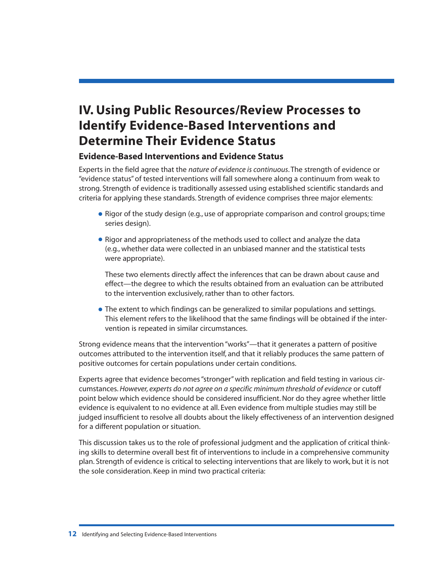## <span id="page-17-0"></span>**IV. Using Public Resources/Review Processes to Identify Evidence-Based Interventions and Determine Their Evidence Status**

## **Evidence-Based Interventions and Evidence Status**

Experts in the field agree that the *nature of evidence is continuous*. The strength of evidence or "evidence status" of tested interventions will fall somewhere along a continuum from weak to strong. Strength of evidence is traditionally assessed using established scientific standards and criteria for applying these standards. Strength of evidence comprises three major elements:

- Rigor of the study design (e.g., use of appropriate comparison and control groups; time series design).
- Rigor and appropriateness of the methods used to collect and analyze the data (e.g., whether data were collected in an unbiased manner and the statistical tests were appropriate).

These two elements directly affect the inferences that can be drawn about cause and effect—the degree to which the results obtained from an evaluation can be attributed to the intervention exclusively, rather than to other factors.

• The extent to which findings can be generalized to similar populations and settings. This element refers to the likelihood that the same findings will be obtained if the intervention is repeated in similar circumstances.

Strong evidence means that the intervention "works"—that it generates a pattern of positive outcomes attributed to the intervention itself, and that it reliably produces the same pattern of positive outcomes for certain populations under certain conditions.

Experts agree that evidence becomes "stronger" with replication and field testing in various circumstances. *However, experts do not agree on a specific minimum threshold of evidence* or cutoff point below which evidence should be considered insufficient. Nor do they agree whether little evidence is equivalent to no evidence at all. Even evidence from multiple studies may still be judged insufficient to resolve all doubts about the likely effectiveness of an intervention designed for a different population or situation.

This discussion takes us to the role of professional judgment and the application of critical thinking skills to determine overall best fit of interventions to include in a comprehensive community plan. Strength of evidence is critical to selecting interventions that are likely to work, but it is not the sole consideration. Keep in mind two practical criteria: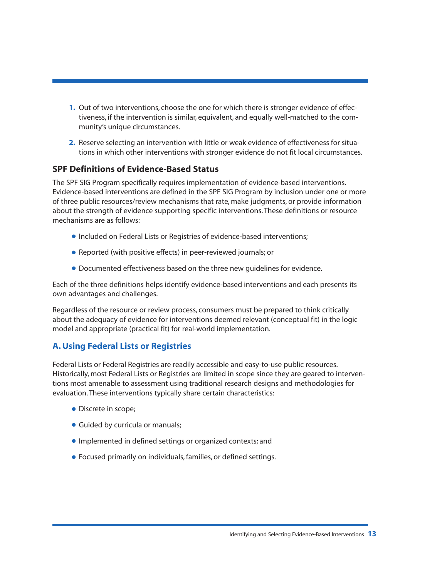- <span id="page-18-0"></span>**1.** Out of two interventions, choose the one for which there is stronger evidence of effectiveness, if the intervention is similar, equivalent, and equally well-matched to the community's unique circumstances.
- **2.** Reserve selecting an intervention with little or weak evidence of effectiveness for situations in which other interventions with stronger evidence do not fit local circumstances.

### **SPF Definitions of Evidence-Based Status**

The SPF SIG Program specifically requires implementation of evidence-based interventions. Evidence-based interventions are defined in the SPF SIG Program by inclusion under one or more of three public resources/review mechanisms that rate, make judgments, or provide information about the strength of evidence supporting specific interventions. These definitions or resource mechanisms are as follows:

- Included on Federal Lists or Registries of evidence-based interventions;
- Reported (with positive effects) in peer-reviewed journals; or
- Documented effectiveness based on the three new guidelines for evidence.

Each of the three definitions helps identify evidence-based interventions and each presents its own advantages and challenges.

Regardless of the resource or review process, consumers must be prepared to think critically about the adequacy of evidence for interventions deemed relevant (conceptual fit) in the logic model and appropriate (practical fit) for real-world implementation.

## **A. Using Federal Lists or Registries**

Federal Lists or Federal Registries are readily accessible and easy-to-use public resources. Historically, most Federal Lists or Registries are limited in scope since they are geared to interventions most amenable to assessment using traditional research designs and methodologies for evaluation. These interventions typically share certain characteristics:

- Discrete in scope;
- Guided by curricula or manuals;
- •Implemented in defined settings or organized contexts; and
- Focused primarily on individuals, families, or defined settings.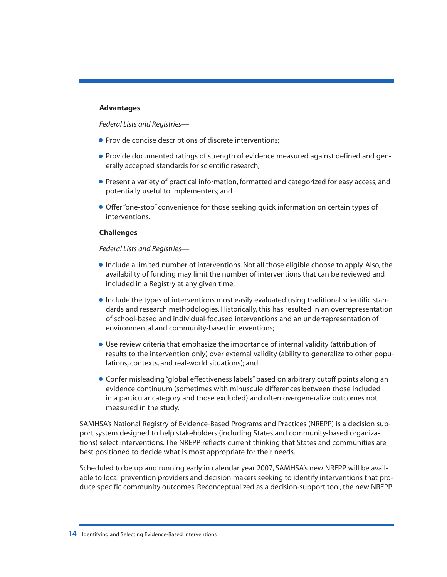#### **Advantages**

*Federal Lists and Registries—*

- Provide concise descriptions of discrete interventions;
- Provide documented ratings of strength of evidence measured against defined and generally accepted standards for scientific research;
- Present a variety of practical information, formatted and categorized for easy access, and potentially useful to implementers; and
- Offer "one-stop" convenience for those seeking quick information on certain types of interventions.

#### **Challenges**

#### *Federal Lists and Registries—*

- •Include a limited number of interventions. Not all those eligible choose to apply. Also, the availability of funding may limit the number of interventions that can be reviewed and included in a Registry at any given time;
- •Include the types of interventions most easily evaluated using traditional scientific standards and research methodologies. Historically, this has resulted in an overrepresentation of school-based and individual-focused interventions and an underrepresentation of environmental and community-based interventions;
- Use review criteria that emphasize the importance of internal validity (attribution of results to the intervention only) over external validity (ability to generalize to other populations, contexts, and real-world situations); and
- Confer misleading "global effectiveness labels" based on arbitrary cutoff points along an evidence continuum (sometimes with minuscule differences between those included in a particular category and those excluded) and often overgeneralize outcomes not measured in the study.

SAMHSA's National Registry of Evidence-Based Programs and Practices (NREPP) is a decision support system designed to help stakeholders (including States and community-based organizations) select interventions. The NREPP reflects current thinking that States and communities are best positioned to decide what is most appropriate for their needs.

Scheduled to be up and running early in calendar year 2007, SAMHSA's new NREPP will be available to local prevention providers and decision makers seeking to identify interventions that produce specific community outcomes. Reconceptualized as a decision-support tool, the new NREPP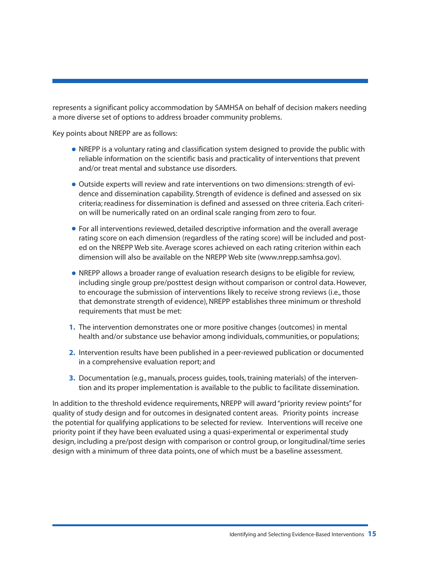represents a significant policy accommodation by SAMHSA on behalf of decision makers needing a more diverse set of options to address broader community problems.

Key points about NREPP are as follows:

- <span id="page-20-0"></span>• NREPP is a voluntary rating and classification system designed to provide the public with reliable information on the scientific basis and practicality of interventions that prevent and/or treat mental and substance use disorders.
- Outside experts will review and rate interventions on two dimensions: strength of evidence and dissemination capability. Strength of evidence is defined and assessed on six criteria; readiness for dissemination is defined and assessed on three criteria. Each criterion will be numerically rated on an ordinal scale ranging from zero to four.
- For all interventions reviewed, detailed descriptive information and the overall average rating score on each dimension (regardless of the rating score) will be included and posted on the NREPP Web site. Average scores achieved on each rating criterion within each dimension will also be available on the NREPP Web site (www.nrepp.samhsa.gov).
- NREPP allows a broader range of evaluation research designs to be eligible for review, including single group pre/posttest design without comparison or control data. However, to encourage the submission of interventions likely to receive strong reviews (i.e., those that demonstrate strength of evidence), NREPP establishes three minimum or threshold requirements that must be met:
- **1.** The intervention demonstrates one or more positive changes (outcomes) in mental health and/or substance use behavior among individuals, communities, or populations;
- **2.** Intervention results have been published in a peer-reviewed publication or documented in a comprehensive evaluation report; and
- **3.** Documentation (e.g., manuals, process guides, tools, training materials) of the intervention and its proper implementation is available to the public to facilitate dissemination.

In addition to the threshold evidence requirements, NREPP will award "priority review points" for quality of study design and for outcomes in designated content areas. Priority points increase the potential for qualifying applications to be selected for review. Interventions will receive one priority point if they have been evaluated using a quasi-experimental or experimental study design, including a pre/post design with comparison or control group, or longitudinal/time series design with a minimum of three data points, one of which must be a baseline assessment.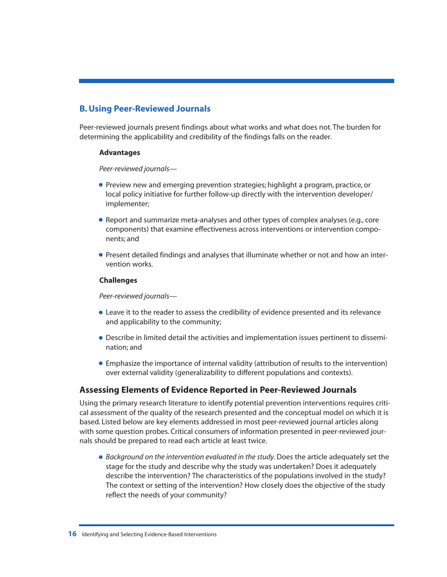## **B. Using Peer-Reviewed Journals**

Peer-reviewed journals present findings about what works and what does not. The burden for determining the applicability and credibility of the findings falls on the reader.

#### <span id="page-21-0"></span>**Advantages**

*Peer-reviewed journals—*

- Preview new and emerging prevention strategies; highlight a program, practice, or local policy initiative for further follow-up directly with the intervention developer/ implementer;
- Report and summarize meta-analyses and other types of complex analyses (e.g., core components) that examine effectiveness across interventions or intervention components; and
- Present detailed findings and analyses that illuminate whether or not and how an intervention works.

#### **Challenges**

*Peer-reviewed journals—*

- Leave it to the reader to assess the credibility of evidence presented and its relevance and applicability to the community;
- Describe in limited detail the activities and implementation issues pertinent to dissemination; and
- Emphasize the importance of internal validity (attribution of results to the intervention) over external validity (generalizability to different populations and contexts).

### **Assessing Elements of Evidence Reported in Peer-Reviewed Journals**

Using the primary research literature to identify potential prevention interventions requires critical assessment of the quality of the research presented and the conceptual model on which it is based. Listed below are key elements addressed in most peer-reviewed journal articles along with some question probes. Critical consumers of information presented in peer-reviewed journals should be prepared to read each article at least twice.

• *Background on the intervention evaluated in the study*. Does the article adequately set the stage for the study and describe why the study was undertaken? Does it adequately describe the intervention? The characteristics of the populations involved in the study? The context or setting of the intervention? How closely does the objective of the study reflect the needs of your community?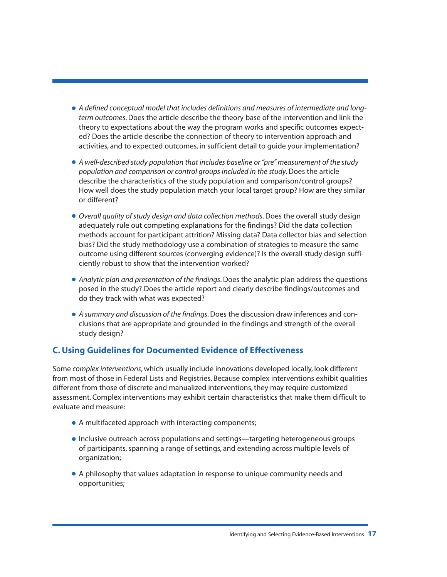- <span id="page-22-0"></span>• *A defined conceptual model that includes definitions and measures of intermediate and longterm outcomes*. Does the article describe the theory base of the intervention and link the theory to expectations about the way the program works and specific outcomes expected? Does the article describe the connection of theory to intervention approach and activities, and to expected outcomes, in sufficient detail to guide your implementation?
- *A well-described study population that includes baseline or "pre" measurement of the study population and comparison or control groups included in the study*. Does the article describe the characteristics of the study population and comparison/control groups? How well does the study population match your local target group? How are they similar or different?
- *Overall quality of study design and data collection methods*. Does the overall study design adequately rule out competing explanations for the findings? Did the data collection methods account for participant attrition? Missing data? Data collector bias and selection bias? Did the study methodology use a combination of strategies to measure the same outcome using different sources (converging evidence)? Is the overall study design sufficiently robust to show that the intervention worked?
- *Analytic plan and presentation of the findings*. Does the analytic plan address the questions posed in the study? Does the article report and clearly describe findings/outcomes and do they track with what was expected?
- *A summary and discussion of the findings*. Does the discussion draw inferences and conclusions that are appropriate and grounded in the findings and strength of the overall study design?

### **C. Using Guidelines for Documented Evidence of Effectiveness**

Some *complex interventions*, which usually include innovations developed locally, look different from most of those in Federal Lists and Registries. Because complex interventions exhibit qualities different from those of discrete and manualized interventions, they may require customized assessment. Complex interventions may exhibit certain characteristics that make them difficult to evaluate and measure:

- A multifaceted approach with interacting components;
- •Inclusive outreach across populations and settings—targeting heterogeneous groups of participants, spanning a range of settings, and extending across multiple levels of organization;
- A philosophy that values adaptation in response to unique community needs and opportunities;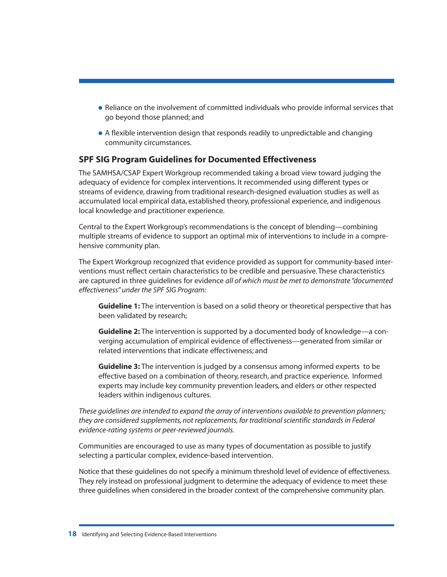- Reliance on the involvement of committed individuals who provide informal services that go beyond those planned; and
- A flexible intervention design that responds readily to unpredictable and changing community circumstances.

### **SPF SIG Program Guidelines for Documented Effectiveness**

The SAMHSA/CSAP Expert Workgroup recommended taking a broad view toward judging the adequacy of evidence for complex interventions. It recommended using different types or streams of evidence, drawing from traditional research-designed evaluation studies as well as accumulated local empirical data, established theory, professional experience, and indigenous local knowledge and practitioner experience.

Central to the Expert Workgroup's recommendations is the concept of blending—combining multiple streams of evidence to support an optimal mix of interventions to include in a comprehensive community plan.

The Expert Workgroup recognized that evidence provided as support for community-based interventions must reflect certain characteristics to be credible and persuasive. These characteristics are captured in three guidelines for evidence *all of which must be met to demonstrate "documented effectiveness" under the SPF SIG Program:*

**Guideline 1:** The intervention is based on a solid theory or theoretical perspective that has been validated by research;

**Guideline 2:** The intervention is supported by a documented body of knowledge—a converging accumulation of empirical evidence of effectiveness—generated from similar or related interventions that indicate effectiveness; and

**Guideline 3:** The intervention is judged by a consensus among informed experts to be effective based on a combination of theory, research, and practice experience. Informed experts may include key community prevention leaders, and elders or other respected leaders within indigenous cultures.

*These guidelines are intended to expand the array of interventions available to prevention planners; they are considered supplements, not replacements, for traditional scientific standards in Federal evidence-rating systems or peer-reviewed journals.*

Communities are encouraged to use as many types of documentation as possible to justify selecting a particular complex, evidence-based intervention.

Notice that these guidelines do not specify a minimum threshold level of evidence of effectiveness. They rely instead on professional judgment to determine the adequacy of evidence to meet these three guidelines when considered in the broader context of the comprehensive community plan.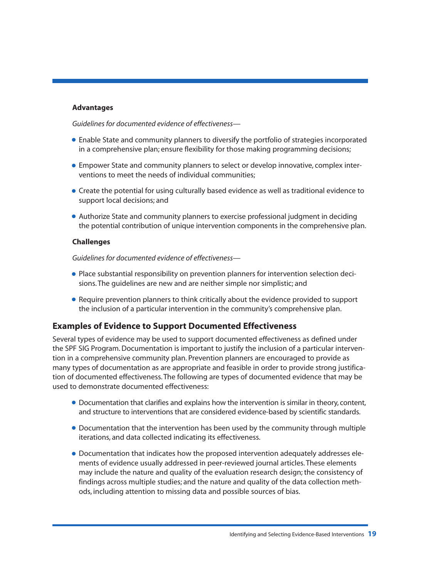#### **Advantages**

*Guidelines for documented evidence of effectiveness—*

- Enable State and community planners to diversify the portfolio of strategies incorporated in a comprehensive plan; ensure flexibility for those making programming decisions;
- Empower State and community planners to select or develop innovative, complex interventions to meet the needs of individual communities;
- Create the potential for using culturally based evidence as well as traditional evidence to support local decisions; and
- Authorize State and community planners to exercise professional judgment in deciding the potential contribution of unique intervention components in the comprehensive plan.

#### **Challenges**

*Guidelines for documented evidence of effectiveness—*

- Place substantial responsibility on prevention planners for intervention selection decisions. The guidelines are new and are neither simple nor simplistic; and
- Require prevention planners to think critically about the evidence provided to support the inclusion of a particular intervention in the community's comprehensive plan.

#### **Examples of Evidence to Support Documented Effectiveness**

Several types of evidence may be used to support documented effectiveness as defined under the SPF SIG Program. Documentation is important to justify the inclusion of a particular intervention in a comprehensive community plan. Prevention planners are encouraged to provide as many types of documentation as are appropriate and feasible in order to provide strong justification of documented effectiveness. The following are types of documented evidence that may be used to demonstrate documented effectiveness:

- Documentation that clarifies and explains how the intervention is similar in theory, content, and structure to interventions that are considered evidence-based by scientific standards.
- Documentation that the intervention has been used by the community through multiple iterations, and data collected indicating its effectiveness.
- Documentation that indicates how the proposed intervention adequately addresses elements of evidence usually addressed in peer-reviewed journal articles. These elements may include the nature and quality of the evaluation research design; the consistency of findings across multiple studies; and the nature and quality of the data collection methods, including attention to missing data and possible sources of bias.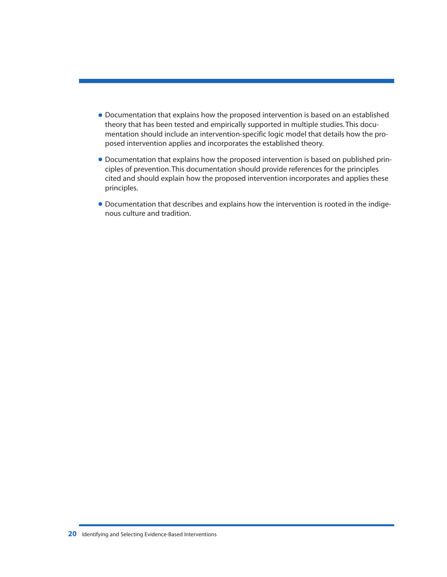- <span id="page-25-0"></span>• Documentation that explains how the proposed intervention is based on an established theory that has been tested and empirically supported in multiple studies. This documentation should include an intervention-specific logic model that details how the proposed intervention applies and incorporates the established theory.
- Documentation that explains how the proposed intervention is based on published principles of prevention. This documentation should provide references for the principles cited and should explain how the proposed intervention incorporates and applies these principles.
- Documentation that describes and explains how the intervention is rooted in the indigenous culture and tradition.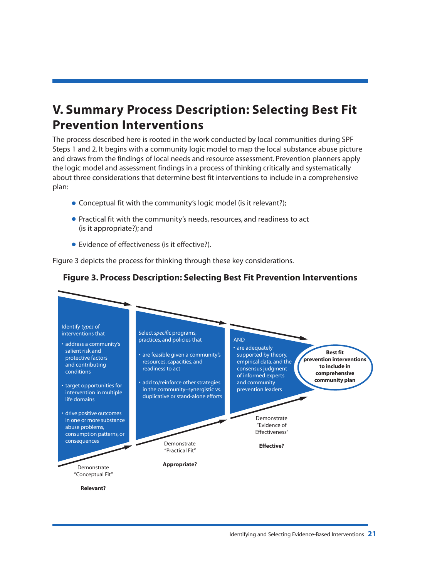## **V. Summary Process Description: Selecting Best Fit Prevention Interventions**

The process described here is rooted in the work conducted by local communities during SPF Steps 1 and 2. It begins with a community logic model to map the local substance abuse picture and draws from the findings of local needs and resource assessment. Prevention planners apply the logic model and assessment findings in a process of thinking critically and systematically about three considerations that determine best fit interventions to include in a comprehensive plan:

- <span id="page-26-0"></span>• Conceptual fit with the community's logic model (is it relevant?);
- Practical fit with the community's needs, resources, and readiness to act (is it appropriate?); and
- Evidence of effectiveness (is it effective?).

Figure 3 depicts the process for thinking through these key considerations.

## **Figure 3. Process Description: Selecting Best Fit Prevention Interventions**

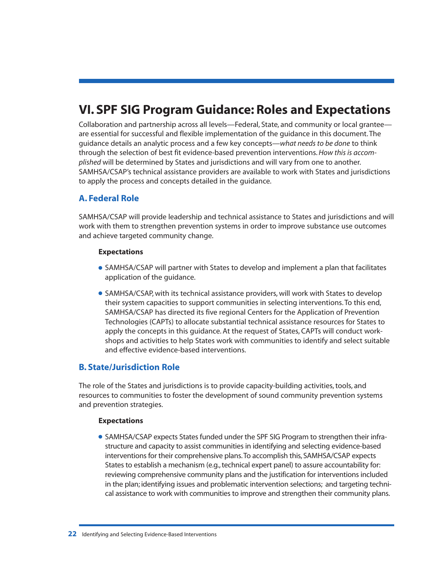## <span id="page-27-0"></span>**VI. SPF SIG Program Guidance: Roles and Expectations**

Collaboration and partnership across all levels—Federal, State, and community or local grantee are essential for successful and flexible implementation of the guidance in this document. The guidance details an analytic process and a few key concepts—*what needs to be done* to think through the selection of best fit evidence-based prevention interventions.*How this is accomplished* will be determined by States and jurisdictions and will vary from one to another. SAMHSA/CSAP's technical assistance providers are available to work with States and jurisdictions to apply the process and concepts detailed in the guidance.

## **A. Federal Role**

SAMHSA/CSAP will provide leadership and technical assistance to States and jurisdictions and will work with them to strengthen prevention systems in order to improve substance use outcomes and achieve targeted community change.

#### **Expectations**

- SAMHSA/CSAP will partner with States to develop and implement a plan that facilitates application of the guidance.
- SAMHSA/CSAP, with its technical assistance providers, will work with States to develop their system capacities to support communities in selecting interventions. To this end, SAMHSA/CSAP has directed its five regional Centers for the Application of Prevention Technologies (CAPTs) to allocate substantial technical assistance resources for States to apply the concepts in this guidance. At the request of States, CAPTs will conduct workshops and activities to help States work with communities to identify and select suitable and effective evidence-based interventions.

### **B. State/Jurisdiction Role**

The role of the States and jurisdictions is to provide capacity-building activities, tools, and resources to communities to foster the development of sound community prevention systems and prevention strategies.

#### **Expectations**

• SAMHSA/CSAP expects States funded under the SPF SIG Program to strengthen their infrastructure and capacity to assist communities in identifying and selecting evidence-based interventions for their comprehensive plans.To accomplish this, SAMHSA/CSAP expects States to establish a mechanism (e.g., technical expert panel) to assure accountability for: reviewing comprehensive community plans and the justification for interventions included in the plan; identifying issues and problematic intervention selections; and targeting technical assistance to work with communities to improve and strengthen their community plans.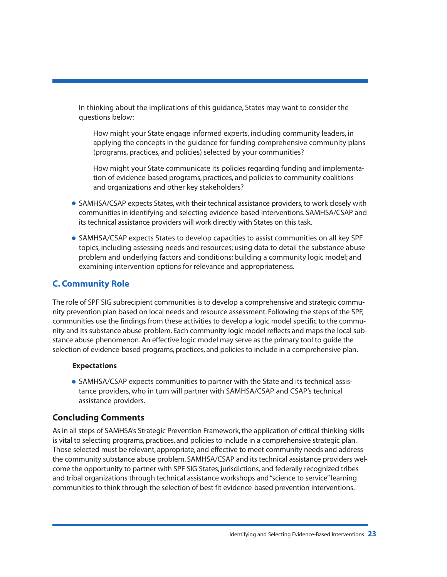In thinking about the implications of this guidance, States may want to consider the questions below:

<span id="page-28-0"></span>How might your State engage informed experts, including community leaders, in applying the concepts in the guidance for funding comprehensive community plans (programs, practices, and policies) selected by your communities?

How might your State communicate its policies regarding funding and implementation of evidence-based programs, practices, and policies to community coalitions and organizations and other key stakeholders?

- SAMHSA/CSAP expects States, with their technical assistance providers, to work closely with communities in identifying and selecting evidence-based interventions. SAMHSA/CSAP and its technical assistance providers will work directly with States on this task.
- SAMHSA/CSAP expects States to develop capacities to assist communities on all key SPF topics, including assessing needs and resources; using data to detail the substance abuse problem and underlying factors and conditions; building a community logic model; and examining intervention options for relevance and appropriateness.

## **C. Community Role**

The role of SPF SIG subrecipient communities is to develop a comprehensive and strategic community prevention plan based on local needs and resource assessment. Following the steps of the SPF, communities use the findings from these activities to develop a logic model specific to the community and its substance abuse problem. Each community logic model reflects and maps the local substance abuse phenomenon. An effective logic model may serve as the primary tool to guide the selection of evidence-based programs, practices, and policies to include in a comprehensive plan.

#### **Expectations**

• SAMHSA/CSAP expects communities to partner with the State and its technical assistance providers, who in turn will partner with SAMHSA/CSAP and CSAP's technical assistance providers.

### **Concluding Comments**

As in all steps of SAMHSA's Strategic Prevention Framework, the application of critical thinking skills is vital to selecting programs, practices, and policies to include in a comprehensive strategic plan. Those selected must be relevant, appropriate, and effective to meet community needs and address the community substance abuse problem. SAMHSA/CSAP and its technical assistance providers welcome the opportunity to partner with SPF SIG States, jurisdictions, and federally recognized tribes and tribal organizations through technical assistance workshops and "science to service" learning communities to think through the selection of best fit evidence-based prevention interventions.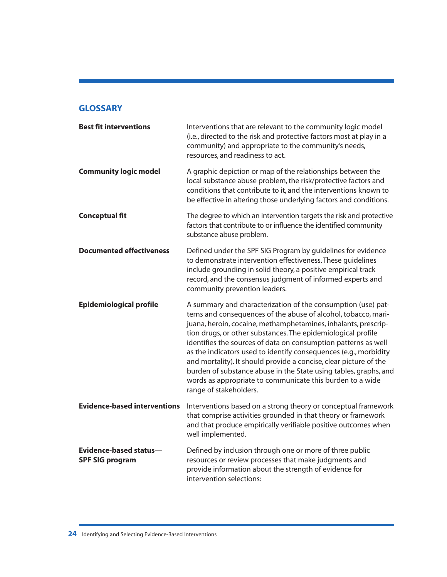### **GLOSSARY**

| <b>Best fit interventions</b>                    | Interventions that are relevant to the community logic model<br>(i.e., directed to the risk and protective factors most at play in a<br>community) and appropriate to the community's needs,<br>resources, and readiness to act.                                                                                                                                                                                                                                                                                                                                                                                                       |
|--------------------------------------------------|----------------------------------------------------------------------------------------------------------------------------------------------------------------------------------------------------------------------------------------------------------------------------------------------------------------------------------------------------------------------------------------------------------------------------------------------------------------------------------------------------------------------------------------------------------------------------------------------------------------------------------------|
| <b>Community logic model</b>                     | A graphic depiction or map of the relationships between the<br>local substance abuse problem, the risk/protective factors and<br>conditions that contribute to it, and the interventions known to<br>be effective in altering those underlying factors and conditions.                                                                                                                                                                                                                                                                                                                                                                 |
| <b>Conceptual fit</b>                            | The degree to which an intervention targets the risk and protective<br>factors that contribute to or influence the identified community<br>substance abuse problem.                                                                                                                                                                                                                                                                                                                                                                                                                                                                    |
| <b>Documented effectiveness</b>                  | Defined under the SPF SIG Program by guidelines for evidence<br>to demonstrate intervention effectiveness. These guidelines<br>include grounding in solid theory, a positive empirical track<br>record, and the consensus judgment of informed experts and<br>community prevention leaders.                                                                                                                                                                                                                                                                                                                                            |
| <b>Epidemiological profile</b>                   | A summary and characterization of the consumption (use) pat-<br>terns and consequences of the abuse of alcohol, tobacco, mari-<br>juana, heroin, cocaine, methamphetamines, inhalants, prescrip-<br>tion drugs, or other substances. The epidemiological profile<br>identifies the sources of data on consumption patterns as well<br>as the indicators used to identify consequences (e.g., morbidity<br>and mortality). It should provide a concise, clear picture of the<br>burden of substance abuse in the State using tables, graphs, and<br>words as appropriate to communicate this burden to a wide<br>range of stakeholders. |
| <b>Evidence-based interventions</b>              | Interventions based on a strong theory or conceptual framework<br>that comprise activities grounded in that theory or framework<br>and that produce empirically verifiable positive outcomes when<br>well implemented.                                                                                                                                                                                                                                                                                                                                                                                                                 |
| Evidence-based status-<br><b>SPF SIG program</b> | Defined by inclusion through one or more of three public<br>resources or review processes that make judgments and<br>provide information about the strength of evidence for<br>intervention selections:                                                                                                                                                                                                                                                                                                                                                                                                                                |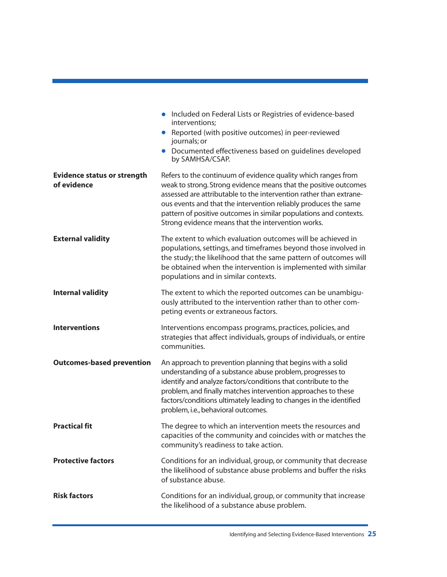|                                                   | • Included on Federal Lists or Registries of evidence-based<br>interventions;<br>Reported (with positive outcomes) in peer-reviewed<br>journals; or<br>• Documented effectiveness based on guidelines developed<br>by SAMHSA/CSAP.                                                                                                                                                                    |
|---------------------------------------------------|-------------------------------------------------------------------------------------------------------------------------------------------------------------------------------------------------------------------------------------------------------------------------------------------------------------------------------------------------------------------------------------------------------|
| <b>Evidence status or strength</b><br>of evidence | Refers to the continuum of evidence quality which ranges from<br>weak to strong. Strong evidence means that the positive outcomes<br>assessed are attributable to the intervention rather than extrane-<br>ous events and that the intervention reliably produces the same<br>pattern of positive outcomes in similar populations and contexts.<br>Strong evidence means that the intervention works. |
| <b>External validity</b>                          | The extent to which evaluation outcomes will be achieved in<br>populations, settings, and timeframes beyond those involved in<br>the study; the likelihood that the same pattern of outcomes will<br>be obtained when the intervention is implemented with similar<br>populations and in similar contexts.                                                                                            |
| <b>Internal validity</b>                          | The extent to which the reported outcomes can be unambigu-<br>ously attributed to the intervention rather than to other com-<br>peting events or extraneous factors.                                                                                                                                                                                                                                  |
| <b>Interventions</b>                              | Interventions encompass programs, practices, policies, and<br>strategies that affect individuals, groups of individuals, or entire<br>communities.                                                                                                                                                                                                                                                    |
| <b>Outcomes-based prevention</b>                  | An approach to prevention planning that begins with a solid<br>understanding of a substance abuse problem, progresses to<br>identify and analyze factors/conditions that contribute to the<br>problem, and finally matches intervention approaches to these<br>factors/conditions ultimately leading to changes in the identified<br>problem, i.e., behavioral outcomes.                              |
| <b>Practical fit</b>                              | The degree to which an intervention meets the resources and<br>capacities of the community and coincides with or matches the<br>community's readiness to take action.                                                                                                                                                                                                                                 |
| <b>Protective factors</b>                         | Conditions for an individual, group, or community that decrease<br>the likelihood of substance abuse problems and buffer the risks<br>of substance abuse.                                                                                                                                                                                                                                             |
| <b>Risk factors</b>                               | Conditions for an individual, group, or community that increase<br>the likelihood of a substance abuse problem.                                                                                                                                                                                                                                                                                       |